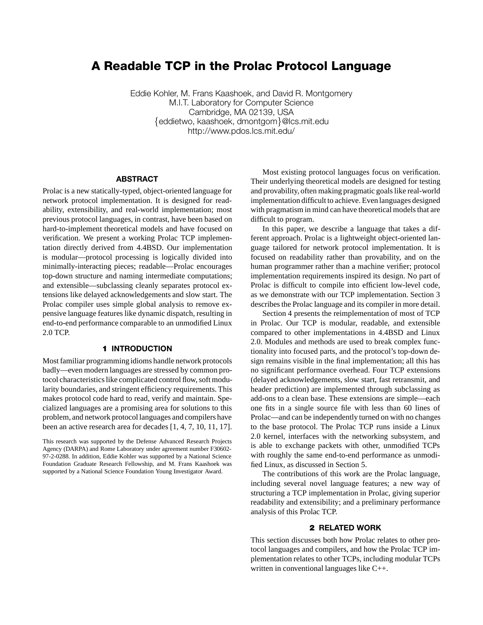# **A Readable TCP in the Prolac Protocol Language**

Eddie Kohler, M. Frans Kaashoek, and David R. Montgomery M.I.T. Laboratory for Computer Science Cambridge, MA 02139, USA {eddietwo, kaashoek, dmontgom}@lcs.mit.edu http://www.pdos.lcs.mit.edu/

#### **ABSTRACT**

Prolac is a new statically-typed, object-oriented language for network protocol implementation. It is designed for readability, extensibility, and real-world implementation; most previous protocol languages, in contrast, have been based on hard-to-implement theoretical models and have focused on verification. We present a working Prolac TCP implementation directly derived from 4.4BSD. Our implementation is modular—protocol processing is logically divided into minimally-interacting pieces; readable—Prolac encourages top-down structure and naming intermediate computations; and extensible—subclassing cleanly separates protocol extensions like delayed acknowledgements and slow start. The Prolac compiler uses simple global analysis to remove expensive language features like dynamic dispatch, resulting in end-to-end performance comparable to an unmodified Linux 2.0 TCP.

# **1 INTRODUCTION**

Most familiar programming idioms handle network protocols badly—even modern languages are stressed by common protocol characteristics like complicated control flow, soft modularity boundaries, and stringent efficiency requirements. This makes protocol code hard to read, verify and maintain. Specialized languages are a promising area for solutions to this problem, and network protocol languages and compilers have been an active research area for decades [1, 4, 7, 10, 11, 17].

This research was supported by the Defense Advanced Research Projects Agency (DARPA) and Rome Laboratory under agreement number F30602- 97-2-0288. In addition, Eddie Kohler was supported by a National Science Foundation Graduate Research Fellowship, and M. Frans Kaashoek was supported by a National Science Foundation Young Investigator Award.

Most existing protocol languages focus on verification. Their underlying theoretical models are designed for testing and provability, often making pragmatic goals like real-world implementation difficult to achieve. Even languages designed with pragmatism in mind can have theoretical models that are difficult to program.

In this paper, we describe a language that takes a different approach. Prolac is a lightweight object-oriented language tailored for network protocol implementation. It is focused on readability rather than provability, and on the human programmer rather than a machine verifier; protocol implementation requirements inspired its design. No part of Prolac is difficult to compile into efficient low-level code, as we demonstrate with our TCP implementation. Section 3 describes the Prolac language and its compiler in more detail.

Section 4 presents the reimplementation of most of TCP in Prolac. Our TCP is modular, readable, and extensible compared to other implementations in 4.4BSD and Linux 2.0. Modules and methods are used to break complex functionality into focused parts, and the protocol's top-down design remains visible in the final implementation; all this has no significant performance overhead. Four TCP extensions (delayed acknowledgements, slow start, fast retransmit, and header prediction) are implemented through subclassing as add-ons to a clean base. These extensions are simple—each one fits in a single source file with less than 60 lines of Prolac—and can be independently turned on with no changes to the base protocol. The Prolac TCP runs inside a Linux 2.0 kernel, interfaces with the networking subsystem, and is able to exchange packets with other, unmodified TCPs with roughly the same end-to-end performance as unmodified Linux, as discussed in Section 5.

The contributions of this work are the Prolac language, including several novel language features; a new way of structuring a TCP implementation in Prolac, giving superior readability and extensibility; and a preliminary performance analysis of this Prolac TCP.

# **2 RELATED WORK**

This section discusses both how Prolac relates to other protocol languages and compilers, and how the Prolac TCP implementation relates to other TCPs, including modular TCPs written in conventional languages like C++.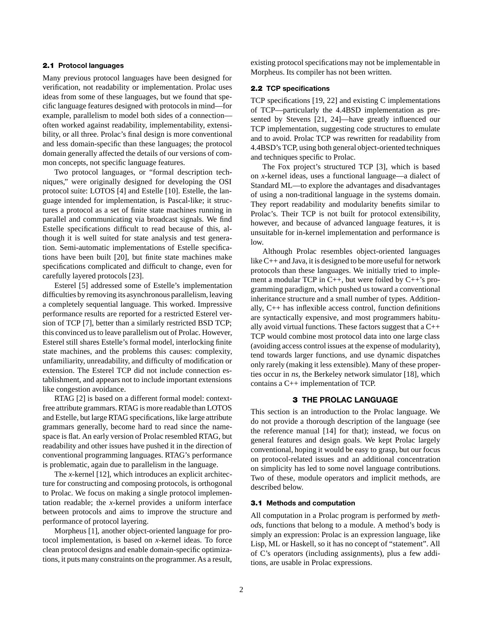## **2.1 Protocol languages**

Many previous protocol languages have been designed for verification, not readability or implementation. Prolac uses ideas from some of these languages, but we found that specific language features designed with protocols in mind—for example, parallelism to model both sides of a connection often worked against readability, implementability, extensibility, or all three. Prolac's final design is more conventional and less domain-specific than these languages; the protocol domain generally affected the details of our versions of common concepts, not specific language features.

Two protocol languages, or "formal description techniques," were originally designed for developing the OSI protocol suite: LOTOS [4] and Estelle [10]. Estelle, the language intended for implementation, is Pascal-like; it structures a protocol as a set of finite state machines running in parallel and communicating via broadcast signals. We find Estelle specifications difficult to read because of this, although it is well suited for state analysis and test generation. Semi-automatic implementations of Estelle specifications have been built [20], but finite state machines make specifications complicated and difficult to change, even for carefully layered protocols [23].

Esterel [5] addressed some of Estelle's implementation difficulties by removing its asynchronous parallelism, leaving a completely sequential language. This worked. Impressive performance results are reported for a restricted Esterel version of TCP [7], better than a similarly restricted BSD TCP; this convinced us to leave parallelism out of Prolac. However, Esterel still shares Estelle's formal model, interlocking finite state machines, and the problems this causes: complexity, unfamiliarity, unreadability, and difficulty of modification or extension. The Esterel TCP did not include connection establishment, and appears not to include important extensions like congestion avoidance.

RTAG [2] is based on a different formal model: contextfree attribute grammars. RTAG is more readable than LOTOS and Estelle, but large RTAG specifications, like large attribute grammars generally, become hard to read since the namespace is flat. An early version of Prolac resembled RTAG, but readability and other issues have pushed it in the direction of conventional programming languages. RTAG's performance is problematic, again due to parallelism in the language.

The *x*-kernel [12], which introduces an explicit architecture for constructing and composing protocols, is orthogonal to Prolac. We focus on making a single protocol implementation readable; the *x*-kernel provides a uniform interface between protocols and aims to improve the structure and performance of protocol layering.

Morpheus [1], another object-oriented language for protocol implementation, is based on *x*-kernel ideas. To force clean protocol designs and enable domain-specific optimizations, it puts many constraints on the programmer. As a result, existing protocol specifications may not be implementable in Morpheus. Its compiler has not been written.

#### **2.2 TCP specifications**

TCP specifications [19, 22] and existing C implementations of TCP—particularly the 4.4BSD implementation as presented by Stevens [21, 24]—have greatly influenced our TCP implementation, suggesting code structures to emulate and to avoid. Prolac TCP was rewritten for readability from 4.4BSD's TCP, using both general object-oriented techniques and techniques specific to Prolac.

The Fox project's structured TCP [3], which is based on *x*-kernel ideas, uses a functional language—a dialect of Standard ML—to explore the advantages and disadvantages of using a non-traditional language in the systems domain. They report readability and modularity benefits similar to Prolac's. Their TCP is not built for protocol extensibility, however, and because of advanced language features, it is unsuitable for in-kernel implementation and performance is low.

Although Prolac resembles object-oriented languages like C++ and Java, it is designed to be more useful for network protocols than these languages. We initially tried to implement a modular TCP in C++, but were foiled by C++'s programming paradigm, which pushed us toward a conventional inheritance structure and a small number of types. Additionally, C++ has inflexible access control, function definitions are syntactically expensive, and most programmers habitually avoid virtual functions. These factors suggest that a C++ TCP would combine most protocol data into one large class (avoiding access control issues at the expense of modularity), tend towards larger functions, and use dynamic dispatches only rarely (making it less extensible). Many of these properties occur in *ns*, the Berkeley network simulator [18], which contains a C++ implementation of TCP.

# **3 THE PROLAC LANGUAGE**

This section is an introduction to the Prolac language. We do not provide a thorough description of the language (see the reference manual [14] for that); instead, we focus on general features and design goals. We kept Prolac largely conventional, hoping it would be easy to grasp, but our focus on protocol-related issues and an additional concentration on simplicity has led to some novel language contributions. Two of these, module operators and implicit methods, are described below.

#### **3.1 Methods and computation**

All computation in a Prolac program is performed by *methods*, functions that belong to a module. A method's body is simply an expression: Prolac is an expression language, like Lisp, ML or Haskell, so it has no concept of "statement". All of C's operators (including assignments), plus a few additions, are usable in Prolac expressions.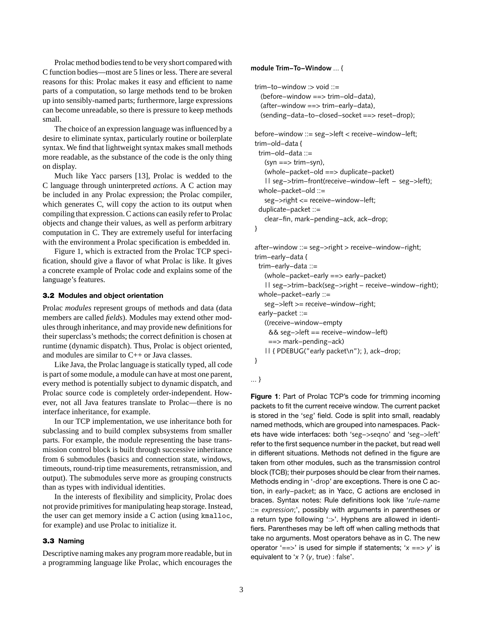Prolac method bodies tend to be very short compared with C function bodies—most are 5 lines or less. There are several reasons for this: Prolac makes it easy and efficient to name parts of a computation, so large methods tend to be broken up into sensibly-named parts; furthermore, large expressions can become unreadable, so there is pressure to keep methods small.

The choice of an expression language was influenced by a desire to eliminate syntax, particularly routine or boilerplate syntax. We find that lightweight syntax makes small methods more readable, as the substance of the code is the only thing on display.

Much like Yacc parsers [13], Prolac is wedded to the C language through uninterpreted *actions*. A C action may be included in any Prolac expression; the Prolac compiler, which generates C, will copy the action to its output when compiling that expression. C actions can easily refer to Prolac objects and change their values, as well as perform arbitrary computation in C. They are extremely useful for interfacing with the environment a Prolac specification is embedded in.

Figure 1, which is extracted from the Prolac TCP specification, should give a flavor of what Prolac is like. It gives a concrete example of Prolac code and explains some of the language's features.

#### **3.2 Modules and object orientation**

Prolac *modules* represent groups of methods and data (data members are called *fields*). Modules may extend other modules through inheritance, and may provide new definitions for their superclass's methods; the correct definition is chosen at runtime (dynamic dispatch). Thus, Prolac is object oriented, and modules are similar to C++ or Java classes.

Like Java, the Prolac language is statically typed, all code is part of some module, a module can have at most one parent, every method is potentially subject to dynamic dispatch, and Prolac source code is completely order-independent. However, not all Java features translate to Prolac—there is no interface inheritance, for example.

In our TCP implementation, we use inheritance both for subclassing and to build complex subsystems from smaller parts. For example, the module representing the base transmission control block is built through successive inheritance from 6 submodules (basics and connection state, windows, timeouts, round-trip time measurements, retransmission, and output). The submodules serve more as grouping constructs than as types with individual identities.

In the interests of flexibility and simplicity, Prolac does not provide primitives for manipulating heap storage. Instead, the user can get memory inside a C action (using kmalloc, for example) and use Prolac to initialize it.

#### **3.3 Naming**

Descriptive naming makes any program more readable, but in a programming language like Prolac, which encourages the

#### **module Trim−To−Window** ... {

```
trim−to−window :> void ::=
 (before−window ==> trim−old−data),
 (after−window ==> trim−early−data),
 (sending−data−to−closed−socket ==> reset−drop);
before−window ::= seg−>left < receive−window−left;
trim−old−data {
 trim−old−data ::=
   (syn ==> trim−syn),
  (whole−packet−old ==> duplicate−packet)
```
| | seg−>trim−front(receive−window−left − seg−>left); whole−packet−old ::=

seg−>right <= receive−window−left;

```
duplicate−packet ::=
```
clear−fin, mark−pending−ack, ack−drop;

```
}
```
after−window ::= seg−>right > receive−window−right; trim−early−data { trim−early−data ::= (whole−packet−early ==> early−packet) | | seg−>trim−back(seg−>right − receive−window−right); whole−packet−early ::= seg−>left >= receive−window−right; early−packet ::= ((receive−window−empty && seg−>left == receive−window−left) ==> mark−pending−ack) | | { PDEBUG("early packet\n"); }, ack−drop; }

```
... }
```
**Figure 1**: Part of Prolac TCP's code for trimming incoming packets to fit the current receive window. The current packet is stored in the 'seg' field. Code is split into small, readably named methods, which are grouped into namespaces. Packets have wide interfaces: both 'seg−>seqno' and 'seg−>left' refer to the first sequence number in the packet, but read well in different situations. Methods not defined in the figure are taken from other modules, such as the transmission control block (TCB); their purposes should be clear from their names. Methods ending in '-drop' are exceptions. There is one C action, in early−packet; as in Yacc, C actions are enclosed in braces. Syntax notes: Rule definitions look like '*rule-name* ::= *expression*;', possibly with arguments in parentheses or a return type following ':>'. Hyphens are allowed in identifiers. Parentheses may be left off when calling methods that take no arguments. Most operators behave as in C. The new operator '==>' is used for simple if statements; '*x* ==> *y*' is equivalent to '*x* ? (*y*, true) : false'.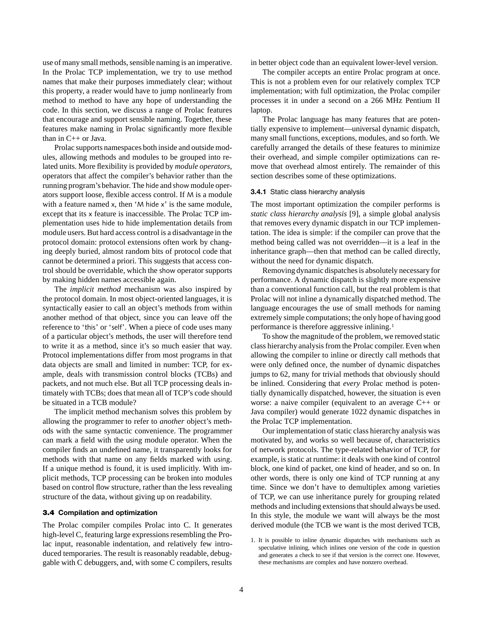use of many small methods, sensible naming is an imperative. In the Prolac TCP implementation, we try to use method names that make their purposes immediately clear; without this property, a reader would have to jump nonlinearly from method to method to have any hope of understanding the code. In this section, we discuss a range of Prolac features that encourage and support sensible naming. Together, these features make naming in Prolac significantly more flexible than in C++ or Java.

Prolac supports namespaces both inside and outside modules, allowing methods and modules to be grouped into related units. More flexibility is provided by *module operators*, operators that affect the compiler's behavior rather than the running program's behavior. The hide and show module operators support loose, flexible access control. If M is a module with a feature named x, then 'M hide x' is the same module, except that its x feature is inaccessible. The Prolac TCP implementation uses hide to hide implementation details from module users. But hard access control is a disadvantage in the protocol domain: protocol extensions often work by changing deeply buried, almost random bits of protocol code that cannot be determined a priori. This suggests that access control should be overridable, which the show operator supports by making hidden names accessible again.

The *implicit method* mechanism was also inspired by the protocol domain. In most object-oriented languages, it is syntactically easier to call an object's methods from within another method of that object, since you can leave off the reference to 'this' or 'self'. When a piece of code uses many of a particular object's methods, the user will therefore tend to write it as a method, since it's so much easier that way. Protocol implementations differ from most programs in that data objects are small and limited in number: TCP, for example, deals with transmission control blocks (TCBs) and packets, and not much else. But all TCP processing deals intimately with TCBs; does that mean all of TCP's code should be situated in a TCB module?

The implicit method mechanism solves this problem by allowing the programmer to refer to *another* object's methods with the same syntactic convenience. The programmer can mark a field with the using module operator. When the compiler finds an undefined name, it transparently looks for methods with that name on any fields marked with using. If a unique method is found, it is used implicitly. With implicit methods, TCP processing can be broken into modules based on control flow structure, rather than the less revealing structure of the data, without giving up on readability.

#### **3.4 Compilation and optimization**

The Prolac compiler compiles Prolac into C. It generates high-level C, featuring large expressions resembling the Prolac input, reasonable indentation, and relatively few introduced temporaries. The result is reasonably readable, debuggable with C debuggers, and, with some C compilers, results in better object code than an equivalent lower-level version.

The compiler accepts an entire Prolac program at once. This is not a problem even for our relatively complex TCP implementation; with full optimization, the Prolac compiler processes it in under a second on a 266 MHz Pentium II laptop.

The Prolac language has many features that are potentially expensive to implement—universal dynamic dispatch, many small functions, exceptions, modules, and so forth. We carefully arranged the details of these features to minimize their overhead, and simple compiler optimizations can remove that overhead almost entirely. The remainder of this section describes some of these optimizations.

#### **3.4.1** Static class hierarchy analysis

The most important optimization the compiler performs is *static class hierarchy analysis* [9], a simple global analysis that removes every dynamic dispatch in our TCP implementation. The idea is simple: if the compiler can prove that the method being called was not overridden—it is a leaf in the inheritance graph—then that method can be called directly, without the need for dynamic dispatch.

Removing dynamic dispatches is absolutely necessary for performance. A dynamic dispatch is slightly more expensive than a conventional function call, but the real problem is that Prolac will not inline a dynamically dispatched method. The language encourages the use of small methods for naming extremely simple computations; the only hope of having good performance is therefore aggressive inlining.1

To show the magnitude of the problem, we removed static class hierarchy analysis from the Prolac compiler. Even when allowing the compiler to inline or directly call methods that were only defined once, the number of dynamic dispatches jumps to 62, many for trivial methods that obviously should be inlined. Considering that *every* Prolac method is potentially dynamically dispatched, however, the situation is even worse: a naive compiler (equivalent to an average C++ or Java compiler) would generate 1022 dynamic dispatches in the Prolac TCP implementation.

Our implementation of static class hierarchy analysis was motivated by, and works so well because of, characteristics of network protocols. The type-related behavior of TCP, for example, is static at runtime: it deals with one kind of control block, one kind of packet, one kind of header, and so on. In other words, there is only one kind of TCP running at any time. Since we don't have to demultiplex among varieties of TCP, we can use inheritance purely for grouping related methods and including extensions that should always be used. In this style, the module we want will always be the most derived module (the TCB we want is the most derived TCB,

<sup>1.</sup> It is possible to inline dynamic dispatches with mechanisms such as speculative inlining, which inlines one version of the code in question and generates a check to see if that version is the correct one. However, these mechanisms are complex and have nonzero overhead.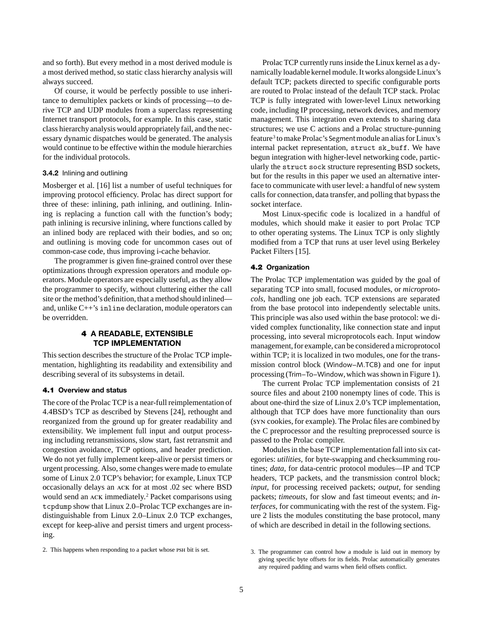and so forth). But every method in a most derived module is a most derived method, so static class hierarchy analysis will always succeed.

Of course, it would be perfectly possible to use inheritance to demultiplex packets or kinds of processing—to derive TCP and UDP modules from a superclass representing Internet transport protocols, for example. In this case, static class hierarchy analysis would appropriately fail, and the necessary dynamic dispatches would be generated. The analysis would continue to be effective within the module hierarchies for the individual protocols.

# **3.4.2** Inlining and outlining

Mosberger et al. [16] list a number of useful techniques for improving protocol efficiency. Prolac has direct support for three of these: inlining, path inlining, and outlining. Inlining is replacing a function call with the function's body; path inlining is recursive inlining, where functions called by an inlined body are replaced with their bodies, and so on; and outlining is moving code for uncommon cases out of common-case code, thus improving i-cache behavior.

The programmer is given fine-grained control over these optimizations through expression operators and module operators. Module operators are especially useful, as they allow the programmer to specify, without cluttering either the call site or the method's definition, that a method should inlined and, unlike C++'s inline declaration, module operators can be overridden.

## **4 A READABLE, EXTENSIBLE TCP IMPLEMENTATION**

This section describes the structure of the Prolac TCP implementation, highlighting its readability and extensibility and describing several of its subsystems in detail.

## **4.1 Overview and status**

The core of the Prolac TCP is a near-full reimplementation of 4.4BSD's TCP as described by Stevens [24], rethought and reorganized from the ground up for greater readability and extensibility. We implement full input and output processing including retransmissions, slow start, fast retransmit and congestion avoidance, TCP options, and header prediction. We do not yet fully implement keep-alive or persist timers or urgent processing. Also, some changes were made to emulate some of Linux 2.0 TCP's behavior; for example, Linux TCP occasionally delays an ack for at most .02 sec where BSD would send an ack immediately.2 Packet comparisons using tcpdump show that Linux 2.0–Prolac TCP exchanges are indistinguishable from Linux 2.0–Linux 2.0 TCP exchanges, except for keep-alive and persist timers and urgent processing.

Prolac TCP currently runs inside the Linux kernel as a dynamically loadable kernel module. It works alongside Linux's default TCP; packets directed to specific configurable ports are routed to Prolac instead of the default TCP stack. Prolac TCP is fully integrated with lower-level Linux networking code, including IP processing, network devices, and memory management. This integration even extends to sharing data structures; we use C actions and a Prolac structure-punning feature<sup>3</sup> to make Prolac's Segment module an alias for Linux's internal packet representation, struct sk\_buff. We have begun integration with higher-level networking code, particularly the struct sock structure representing BSD sockets, but for the results in this paper we used an alternative interface to communicate with user level: a handful of new system calls for connection, data transfer, and polling that bypass the socket interface.

Most Linux-specific code is localized in a handful of modules, which should make it easier to port Prolac TCP to other operating systems. The Linux TCP is only slightly modified from a TCP that runs at user level using Berkeley Packet Filters [15].

#### **4.2 Organization**

The Prolac TCP implementation was guided by the goal of separating TCP into small, focused modules, or *microprotocols*, handling one job each. TCP extensions are separated from the base protocol into independently selectable units. This principle was also used within the base protocol: we divided complex functionality, like connection state and input processing, into several microprotocols each. Input window management, for example, can be considered a microprotocol within TCP; it is localized in two modules, one for the transmission control block (Window−M.TCB) and one for input processing (Trim−To−Window,which was shown in Figure 1).

The current Prolac TCP implementation consists of 21 source files and about 2100 nonempty lines of code. This is about one-third the size of Linux 2.0's TCP implementation, although that TCP does have more functionality than ours (syn cookies, for example). The Prolac files are combined by the C preprocessor and the resulting preprocessed source is passed to the Prolac compiler.

Modules in the base TCP implementation fall into six categories: *utilities,* for byte-swapping and checksumming routines; *data,* for data-centric protocol modules—IP and TCP headers, TCP packets, and the transmission control block; *input,* for processing received packets; *output,* for sending packets; *timeouts,* for slow and fast timeout events; and *interfaces,* for communicating with the rest of the system. Figure 2 lists the modules constituting the base protocol, many of which are described in detail in the following sections.

<sup>2.</sup> This happens when responding to a packet whose PSH bit is set.

<sup>3.</sup> The programmer can control how a module is laid out in memory by giving specific byte offsets for its fields. Prolac automatically generates any required padding and warns when field offsets conflict.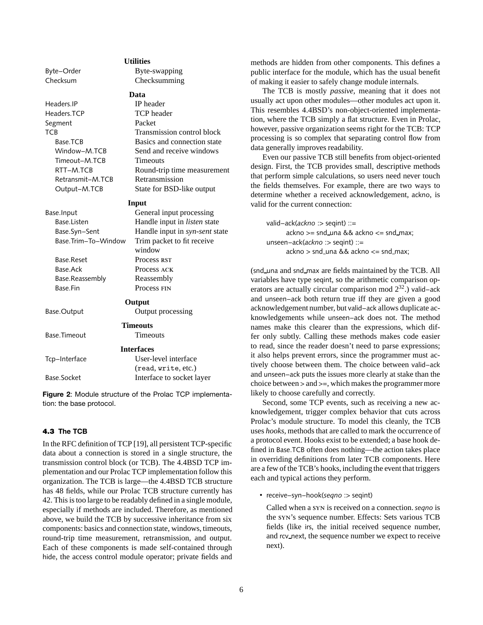| Byte-Order          | Byte-swapping                       |  |
|---------------------|-------------------------------------|--|
| Checksum            | Checksumming                        |  |
|                     | Data                                |  |
| Headers.IP          | <b>IP</b> header                    |  |
| Headers.TCP         | <b>TCP</b> header                   |  |
| Segment             | Packet                              |  |
| <b>TCB</b>          | Transmission control block          |  |
| Base.TCB            | Basics and connection state         |  |
| Window-M.TCB        | Send and receive windows            |  |
| Timeout-M.TCB       | <b>Timeouts</b>                     |  |
| RTT-M.TCB           | Round-trip time measurement         |  |
| Retransmit-M.TCB    | Retransmission                      |  |
| Output-M.TCB        | State for BSD-like output           |  |
|                     | Input                               |  |
| Base.Input          | General input processing            |  |
| Base.Listen         | Handle input in <i>listen</i> state |  |
| Base.Syn-Sent       | Handle input in syn-sent state      |  |
| Base.Trim-To-Window | Trim packet to fit receive          |  |
|                     | window                              |  |
| Base.Reset          | Process RST                         |  |
| <b>Base Ack</b>     | Process ACK                         |  |
| Base.Reassembly     | Reassembly                          |  |
| <b>Base</b> Fin     | Process FIN                         |  |
|                     | Output                              |  |
| Base.Output         | Output processing                   |  |
|                     |                                     |  |
|                     | <b>Timeouts</b>                     |  |
| Base.Timeout        | <b>Timeouts</b>                     |  |
|                     | <b>Interfaces</b>                   |  |
| Tcp-Interface       | User-level interface                |  |
|                     | (read, write, etc.)                 |  |
| Base.Socket         | Interface to socket layer           |  |
|                     |                                     |  |

**Utilities**

**Figure 2**: Module structure of the Prolac TCP implementation: the base protocol.

#### **4.3 The TCB**

In the RFC definition of TCP [19], all persistent TCP-specific data about a connection is stored in a single structure, the transmission control block (or TCB). The 4.4BSD TCP implementation and our Prolac TCP implementation follow this organization. The TCB is large—the 4.4BSD TCB structure has 48 fields, while our Prolac TCB structure currently has 42. This is too large to be readably defined in a single module, especially if methods are included. Therefore, as mentioned above, we build the TCB by successive inheritance from six components: basics and connection state, windows, timeouts, round-trip time measurement, retransmission, and output. Each of these components is made self-contained through hide, the access control module operator; private fields and methods are hidden from other components. This defines a public interface for the module, which has the usual benefit of making it easier to safely change module internals.

The TCB is mostly *passive,* meaning that it does not usually act upon other modules—other modules act upon it. This resembles 4.4BSD's non-object-oriented implementation, where the TCB simply a flat structure. Even in Prolac, however, passive organization seems right for the TCB: TCP processing is so complex that separating control flow from data generally improves readability.

Even our passive TCB still benefits from object-oriented design. First, the TCB provides small, descriptive methods that perform simple calculations, so users need never touch the fields themselves. For example, there are two ways to determine whether a received acknowledgement, ackno, is valid for the current connection:

valid−ack(*ackno* :> seqint) ::=  $ackno >= sold\_una & &ackno <= send\_max;$ unseen−ack(*ackno* :> seqint) ::=  $ackno >$  snd\_una && ackno  $<=$  snd\_max;

(snd una and snd max are fields maintained by the TCB. All variables have type seqint, so the arithmetic comparison operators are actually circular comparison mod  $2^{32}$ .) valid–ack and unseen−ack both return true iff they are given a good acknowledgement number, but valid−ack allows duplicate acknowledgements while unseen−ack does not. The method names make this clearer than the expressions, which differ only subtly. Calling these methods makes code easier to read, since the reader doesn't need to parse expressions; it also helps prevent errors, since the programmer must actively choose between them. The choice between valid−ack and unseen−ack puts the issues more clearly at stake than the choice between > and >=, which makes the programmer more likely to choose carefully and correctly.

Second, some TCP events, such as receiving a new acknowledgement, trigger complex behavior that cuts across Prolac's module structure. To model this cleanly, the TCB uses *hooks,* methods that are called to mark the occurrence of a protocol event. Hooks exist to be extended; a base hook defined in Base.TCB often does nothing—the action takes place in overriding definitions from later TCB components. Here are a few of the TCB's hooks, including the event that triggers each and typical actions they perform.

• receive−syn−hook(*seqno* :> seqint)

Called when a syn is received on a connection. *seqno* is the syn's sequence number. Effects: Sets various TCB fields (like irs, the initial received sequence number, and rcv next, the sequence number we expect to receive next).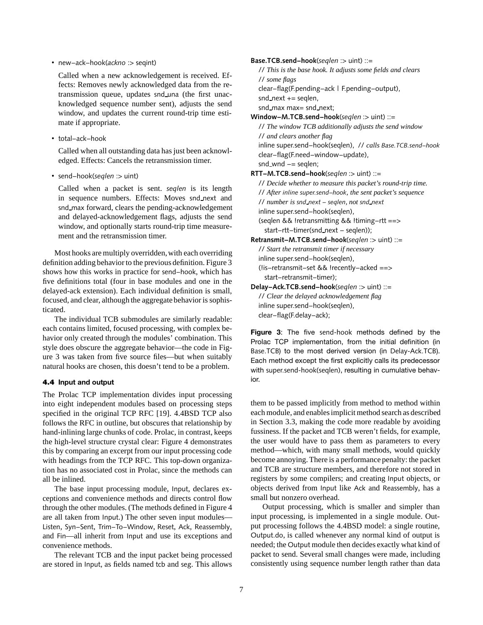• new−ack−hook(*ackno* :> seqint)

Called when a new acknowledgement is received. Effects: Removes newly acknowledged data from the retransmission queue, updates snd una (the first unacknowledged sequence number sent), adjusts the send window, and updates the current round-trip time estimate if appropriate.

• total−ack−hook

Called when all outstanding data has just been acknowledged. Effects: Cancels the retransmission timer.

• send−hook(*seqlen* :> uint)

Called when a packet is sent. *seqlen* is its length in sequence numbers. Effects: Moves snd next and snd max forward, clears the pending-acknowledgement and delayed-acknowledgement flags, adjusts the send window, and optionally starts round-trip time measurement and the retransmission timer.

Most hooks are multiply overridden, with each overriding definition adding behavior to the previous definition. Figure 3 shows how this works in practice for send−hook, which has five definitions total (four in base modules and one in the delayed-ack extension). Each individual definition is small, focused, and clear, although the aggregate behavior is sophisticated.

The individual TCB submodules are similarly readable: each contains limited, focused processing, with complex behavior only created through the modules' combination. This style does obscure the aggregate behavior—the code in Figure 3 was taken from five source files—but when suitably natural hooks are chosen, this doesn't tend to be a problem.

## **4.4 Input and output**

The Prolac TCP implementation divides input processing into eight independent modules based on processing steps specified in the original TCP RFC [19]. 4.4BSD TCP also follows the RFC in outline, but obscures that relationship by hand-inlining large chunks of code. Prolac, in contrast, keeps the high-level structure crystal clear: Figure 4 demonstrates this by comparing an excerpt from our input processing code with headings from the TCP RFC. This top-down organization has no associated cost in Prolac, since the methods can all be inlined.

The base input processing module, Input, declares exceptions and convenience methods and directs control flow through the other modules. (The methods defined in Figure 4 are all taken from Input.) The other seven input modules— Listen, Syn−Sent, Trim−To−Window, Reset, Ack, Reassembly, and Fin—all inherit from Input and use its exceptions and convenience methods.

The relevant TCB and the input packet being processed are stored in Input, as fields named tcb and seg. This allows

**Base.TCB.send−hook**(*seqlen* :> uint) ::=

// *This is the base hook. It adjusts some fields and clears* // *some flags* clear−flag(F.pending−ack | F.pending−output),  $snd.next += \text{seqlen}$ , snd max max= snd next; **Window−M.TCB.send−hook**(*seqlen* :> uint) ::= // *The window TCB additionally adjusts the send window* // *and clears another flag* inline super.send−hook(seqlen), // *calls Base.TCB.send−hook* clear−flag(F.need−window−update),

snd\_wnd -= seqlen;

**RTT−M.TCB.send−hook**(*seqlen* :> uint) ::=

// *Decide whether to measure this packet's round-trip time.* // *After inline super.send−hook, the sent packet's sequence* // *number is snd next − seqlen, not snd next* inline super.send−hook(seqlen), (seqlen && !retransmitting && !timing−rtt ==> start−rtt−timer(snd next − seqlen));

**Retransmit−M.TCB.send−hook**(*seqlen* :> uint) ::= // *Start the retransmit timer if necessary* inline super.send−hook(seqlen), (!is−retransmit−set && !recently−acked ==> start−retransmit−timer);

**Delay−Ack.TCB.send−hook**(*seqlen* :> uint) ::= // *Clear the delayed acknowledgement flag* inline super.send−hook(seqlen), clear−flag(F.delay−ack);

**Figure 3**: The five send-hook methods defined by the Prolac TCP implementation, from the initial definition (in Base.TCB) to the most derived version (in Delay-Ack.TCB). Each method except the first explicitly calls its predecessor with super.send-hook(seqlen), resulting in cumulative behavior.

them to be passed implicitly from method to method within each module, and enables implicit method search as described in Section 3.3, making the code more readable by avoiding fussiness. If the packet and TCB weren't fields, for example, the user would have to pass them as parameters to every method—which, with many small methods, would quickly become annoying. There is a performance penalty: the packet and TCB are structure members, and therefore not stored in registers by some compilers; and creating Input objects, or objects derived from Input like Ack and Reassembly, has a small but nonzero overhead.

Output processing, which is smaller and simpler than input processing, is implemented in a single module. Output processing follows the 4.4BSD model: a single routine, Output.do, is called whenever any normal kind of output is needed; the Output module then decides exactly what kind of packet to send. Several small changes were made, including consistently using sequence number length rather than data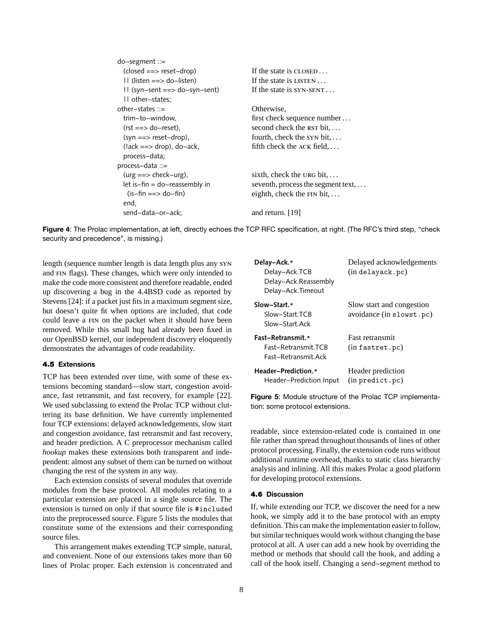| $do$ -segment ::=                           |                                            |  |
|---------------------------------------------|--------------------------------------------|--|
| $(closed == > reset-drop)$                  | If the state is $CLOSED$                   |  |
| $  $ (listen ==> do-listen)                 | If the state is $LISTEN$                   |  |
| $\left  \right $ (syn-sent ==> do-syn-sent) | If the state is $SYN-SENT$                 |  |
| II other-states;                            |                                            |  |
| other-states $\therefore$                   | Otherwise,                                 |  |
| trim-to-window.                             | first check sequence number                |  |
| $(rst == > do-reset).$                      | second check the $RST$ bit, $\dots$        |  |
| $(syn == > reset-drop)$ ,                   | fourth, check the $syn bit$ ,              |  |
| $(lack == > drop)$ , do-ack,                | fifth check the $ACK$ field, $\ldots$      |  |
| process-data;                               |                                            |  |
| process-data ::=                            |                                            |  |
| $(urg == > check -urg)$ ,                   | sixth, check the URG bit, $\dots$          |  |
| $let is$ -fin = do-reassembly in            | seventh, process the segment text, $\dots$ |  |
| (is-fin ==> do-fin)                         | eighth, check the $FIN bit$ ,              |  |
| end,                                        |                                            |  |
| send-data-or-ack;                           | and return. [19]                           |  |



length (sequence number length is data length plus any syn and fin flags). These changes, which were only intended to make the code more consistent and therefore readable, ended up discovering a bug in the 4.4BSD code as reported by Stevens [24]: if a packet just fits in a maximum segment size, but doesn't quite fit when options are included, that code could leave a fin on the packet when it should have been removed. While this small bug had already been fixed in our OpenBSD kernel, our independent discovery eloquently demonstrates the advantages of code readability.

## **4.5 Extensions**

TCP has been extended over time, with some of these extensions becoming standard—slow start, congestion avoidance, fast retransmit, and fast recovery, for example [22]. We used subclassing to extend the Prolac TCP without cluttering its base definition. We have currently implemented four TCP extensions: delayed acknowledgements, slow start and congestion avoidance, fast retransmit and fast recovery, and header prediction. A C preprocessor mechanism called *hookup* makes these extensions both transparent and independent: almost any subset of them can be turned on without changing the rest of the system in any way.

Each extension consists of several modules that override modules from the base protocol. All modules relating to a particular extension are placed in a single source file. The extension is turned on only if that source file is #included into the preprocessed source. Figure 5 lists the modules that constitute some of the extensions and their corresponding source files.

This arrangement makes extending TCP simple, natural, and convenient. None of our extensions takes more than 60 lines of Prolac proper. Each extension is concentrated and

| Delay–Ack.*<br>Delay-Ack.TCB<br>Delay-Ack.Reassembly<br>Delay-Ack.Timeout | Delayed acknowledgements<br>(in delayack.pc)          |  |
|---------------------------------------------------------------------------|-------------------------------------------------------|--|
| Slow–Start.*<br>Slow-Start TCB<br>Slow-Start Ack                          | Slow start and congestion<br>avoidance (in slowst.pc) |  |
| <b>Fast-Retransmit.*</b><br>Fast-Retransmit.TCB<br>Fast-Retransmit Ack    | <b>Fast retransmit</b><br>(in fastret.pc)             |  |
| Header-Prediction.*<br>Header–Prediction.Input                            | Header prediction<br>$(in$ predict.pc $)$             |  |

**Figure 5**: Module structure of the Prolac TCP implementation: some protocol extensions.

readable, since extension-related code is contained in one file rather than spread throughout thousands of lines of other protocol processing. Finally, the extension code runs without additional runtime overhead, thanks to static class hierarchy analysis and inlining. All this makes Prolac a good platform for developing protocol extensions.

## **4.6 Discussion**

If, while extending our TCP, we discover the need for a new hook, we simply add it to the base protocol with an empty definition. This can make the implementation easier to follow, but similar techniques would work without changing the base protocol at all. A user can add a new hook by overriding the method or methods that should call the hook, and adding a call of the hook itself. Changing a send−segment method to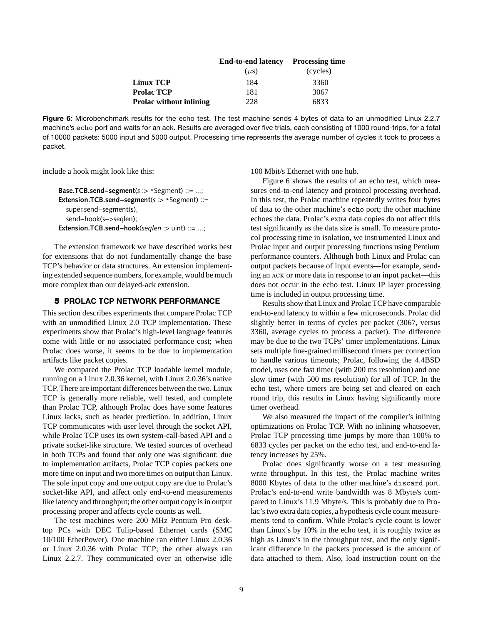|                                | <b>End-to-end latency</b> | <b>Processing time</b> |
|--------------------------------|---------------------------|------------------------|
|                                | $(\mu s)$                 | (cycles)               |
| <b>Linux TCP</b>               | 184                       | 3360                   |
| <b>Prolac TCP</b>              | 181                       | 3067                   |
| <b>Prolac without inlining</b> | 228                       | 6833                   |

**Figure 6**: Microbenchmark results for the echo test. The test machine sends 4 bytes of data to an unmodified Linux 2.2.7 machine's echo port and waits for an ack. Results are averaged over five trials, each consisting of 1000 round-trips, for a total of 10000 packets: 5000 input and 5000 output. Processing time represents the average number of cycles it took to process a packet.

include a hook might look like this:

```
Base.TCB.send−segment(s :> *Segment) ::= ...;
Extension.TCB.send−segment(s :> *Segment) ::=
  super.send−segment(s),
  send−hook(s−>seqlen);
Extension.TCB.send−hook(seqlen :> uint) ::= ...;
```
The extension framework we have described works best for extensions that do not fundamentally change the base TCP's behavior or data structures. An extension implementing extended sequence numbers, for example, would be much more complex than our delayed-ack extension.

## **5 PROLAC TCP NETWORK PERFORMANCE**

This section describes experiments that compare Prolac TCP with an unmodified Linux 2.0 TCP implementation. These experiments show that Prolac's high-level language features come with little or no associated performance cost; when Prolac does worse, it seems to be due to implementation artifacts like packet copies.

We compared the Prolac TCP loadable kernel module, running on a Linux 2.0.36 kernel, with Linux 2.0.36's native TCP. There are important differences between the two. Linux TCP is generally more reliable, well tested, and complete than Prolac TCP, although Prolac does have some features Linux lacks, such as header prediction. In addition, Linux TCP communicates with user level through the socket API, while Prolac TCP uses its own system-call-based API and a private socket-like structure. We tested sources of overhead in both TCPs and found that only one was significant: due to implementation artifacts, Prolac TCP copies packets one more time on input and two more times on output than Linux. The sole input copy and one output copy are due to Prolac's socket-like API, and affect only end-to-end measurements like latency and throughput; the other output copy is in output processing proper and affects cycle counts as well.

The test machines were 200 MHz Pentium Pro desktop PCs with DEC Tulip-based Ethernet cards (SMC 10/100 EtherPower). One machine ran either Linux 2.0.36 or Linux 2.0.36 with Prolac TCP; the other always ran Linux 2.2.7. They communicated over an otherwise idle 100 Mbit/s Ethernet with one hub.

Figure 6 shows the results of an echo test, which measures end-to-end latency and protocol processing overhead. In this test, the Prolac machine repeatedly writes four bytes of data to the other machine's echo port; the other machine echoes the data. Prolac's extra data copies do not affect this test significantly as the data size is small. To measure protocol processing time in isolation, we instrumented Linux and Prolac input and output processing functions using Pentium performance counters. Although both Linux and Prolac can output packets because of input events—for example, sending an ack or more data in response to an input packet—this does not occur in the echo test. Linux IP layer processing time is included in output processing time.

Results show that Linux and Prolac TCP have comparable end-to-end latency to within a few microseconds. Prolac did slightly better in terms of cycles per packet (3067, versus 3360, average cycles to process a packet). The difference may be due to the two TCPs' timer implementations. Linux sets multiple fine-grained millisecond timers per connection to handle various timeouts; Prolac, following the 4.4BSD model, uses one fast timer (with 200 ms resolution) and one slow timer (with 500 ms resolution) for all of TCP. In the echo test, where timers are being set and cleared on each round trip, this results in Linux having significantly more timer overhead.

We also measured the impact of the compiler's inlining optimizations on Prolac TCP. With no inlining whatsoever, Prolac TCP processing time jumps by more than 100% to 6833 cycles per packet on the echo test, and end-to-end latency increases by 25%.

Prolac does significantly worse on a test measuring write throughput. In this test, the Prolac machine writes 8000 Kbytes of data to the other machine's discard port. Prolac's end-to-end write bandwidth was 8 Mbyte/s compared to Linux's 11.9 Mbyte/s. This is probably due to Prolac's two extra data copies, a hypothesis cycle count measurements tend to confirm. While Prolac's cycle count is lower than Linux's by 10% in the echo test, it is roughly twice as high as Linux's in the throughput test, and the only significant difference in the packets processed is the amount of data attached to them. Also, load instruction count on the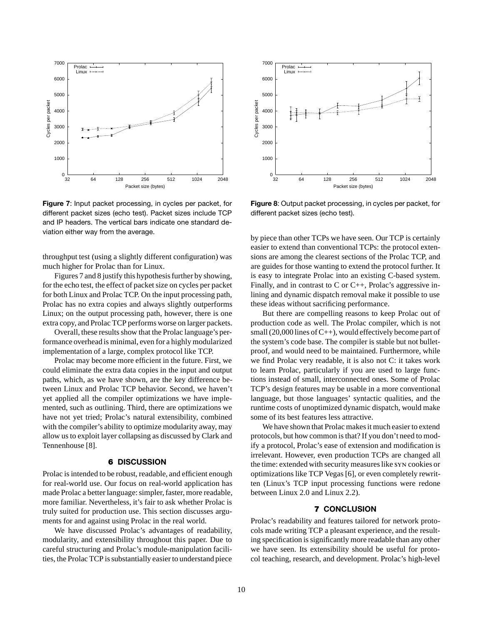

**Figure 7**: Input packet processing, in cycles per packet, for different packet sizes (echo test). Packet sizes include TCP and IP headers. The vertical bars indicate one standard deviation either way from the average.

throughput test (using a slightly different configuration) was much higher for Prolac than for Linux.

Figures 7 and 8 justify this hypothesis further by showing, for the echo test, the effect of packet size on cycles per packet for both Linux and Prolac TCP. On the input processing path, Prolac has no extra copies and always slightly outperforms Linux; on the output processing path, however, there is one extra copy, and Prolac TCP performs worse on larger packets.

Overall, these results show that the Prolac language's performance overhead is minimal, even for a highly modularized implementation of a large, complex protocol like TCP.

Prolac may become more efficient in the future. First, we could eliminate the extra data copies in the input and output paths, which, as we have shown, are the key difference between Linux and Prolac TCP behavior. Second, we haven't yet applied all the compiler optimizations we have implemented, such as outlining. Third, there are optimizations we have not yet tried; Prolac's natural extensibility, combined with the compiler's ability to optimize modularity away, may allow us to exploit layer collapsing as discussed by Clark and Tennenhouse [8].

## **6 DISCUSSION**

Prolac is intended to be robust, readable, and efficient enough for real-world use. Our focus on real-world application has made Prolac a better language: simpler, faster, more readable, more familiar. Nevertheless, it's fair to ask whether Prolac is truly suited for production use. This section discusses arguments for and against using Prolac in the real world.

We have discussed Prolac's advantages of readability, modularity, and extensibility throughout this paper. Due to careful structuring and Prolac's module-manipulation facilities, the Prolac TCP is substantially easier to understand piece



**Figure 8**: Output packet processing, in cycles per packet, for different packet sizes (echo test).

by piece than other TCPs we have seen. Our TCP is certainly easier to extend than conventional TCPs: the protocol extensions are among the clearest sections of the Prolac TCP, and are guides for those wanting to extend the protocol further. It is easy to integrate Prolac into an existing C-based system. Finally, and in contrast to C or  $C_{++}$ , Prolac's aggressive inlining and dynamic dispatch removal make it possible to use these ideas without sacrificing performance.

But there are compelling reasons to keep Prolac out of production code as well. The Prolac compiler, which is not small  $(20,000$  lines of C++), would effectively become part of the system's code base. The compiler is stable but not bulletproof, and would need to be maintained. Furthermore, while we find Prolac very readable, it is also not C: it takes work to learn Prolac, particularly if you are used to large functions instead of small, interconnected ones. Some of Prolac TCP's design features may be usable in a more conventional language, but those languages' syntactic qualities, and the runtime costs of unoptimized dynamic dispatch, would make some of its best features less attractive.

We have shown that Prolac makes it much easier to extend protocols, but how common is that? If you don't need to modify a protocol, Prolac's ease of extension and modification is irrelevant. However, even production TCPs are changed all the time: extended with security measures like syn cookies or optimizations like TCP Vegas [6], or even completely rewritten (Linux's TCP input processing functions were redone between Linux 2.0 and Linux 2.2).

# **7 CONCLUSION**

Prolac's readability and features tailored for network protocols made writing TCP a pleasant experience, and the resulting specification is significantly more readable than any other we have seen. Its extensibility should be useful for protocol teaching, research, and development. Prolac's high-level